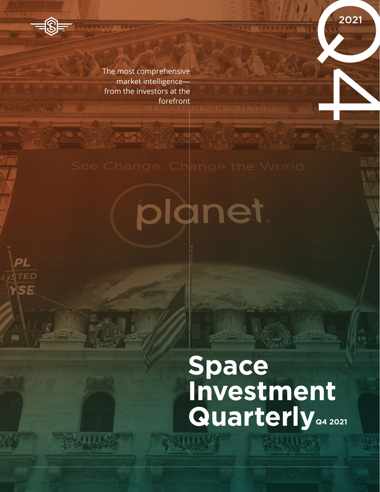The most comprehensive market intelligence from the investors at the forefront

**AAAA B** 

PL

**ISTED** 

YSE

**VIII** 

planet

# **Space Investment Quarterly POSE CONSUMING A 2021**

经生产人民经济

2021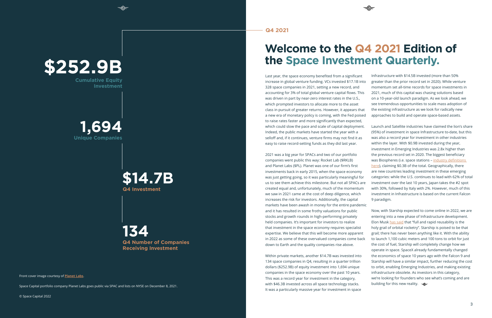Front cover image courtesy of **[Planet Labs](https://twitter.com/planet/status/1468697786824544260?s=20)**.

Space Capital portfolio company Planet Labs goes public via SPAC and lists on NYSE on December 8, 2021.

© Space Capital 2022

 $\overline{3}$ 

Last year, the space economy benefited from a significant increase in global venture funding. VCs invested \$17.1B into 328 space companies in 2021, setting a new record, and accounting for 3% of total global venture capital flows. This was driven in part by near-zero interest rates in the U.S., which prompted investors to allocate more to the asset class in pursuit of greater returns. However, it appears that a new era of monetary policy is coming, with the Fed poised to raise rates faster and more significantly than expected, which could slow the pace and scale of capital deployment. Indeed, the public markets have started the year with a selloff and, if it continues, venture firms may not find it as easy to raise record-setting funds as they did last year.

Within private markets, another \$14.7B was invested into 134 space companies in Q4, resulting in a quarter trillion dollars (\$252.9B) of equity investment into 1,694 unique companies in the space economy over the past 10 years. This was a record year for investment in the category, with \$46.3B invested across all space technology stacks. It was a particularly massive year for investment in space Now, with Starship expected to come online in 2022, we are entering into a new phase of Infrastructure development. Elon Musk [has said](https://twitter.com/elonmusk/status/1450858549983199239?s=20) that "full and rapid reusability is the holy grail of orbital rocketry". Starship is poised to be that grail; there has never been anything like it. With the ability to launch 1,100 cubic meters and 100 tons to orbit for just the cost of fuel, Starship will completely change how we operate in space. SpaceX already fundamentally changed the economics of space 10 years ago with the Falcon 9 and Starship will have a similar impact, further reducing the cost to orbit, enabling Emerging Industries, and making existing infrastructure obsolete. As investors in this category, we're looking for founders who see what's coming and are building for this new reality. <del>⊲</del>

2021 was a big year for SPACs and two of our portfolio companies went public this way: Rocket Lab (\$RKLB) and Planet Labs (\$PL). Planet was one of our firm's first investments back in early 2015, when the space economy was just getting going, so it was particularly meaningful for us to see them achieve this milestone. But not all SPACs are created equal and, unfortunately, much of the momentum we saw in 2021 came at the cost of deep diligence, which increases the risk for investors. Additionally, the capital markets have been awash in money for the entire pandemic and it has resulted in some frothy valuations for public stocks and growth rounds in high-performing privately held companies. It's important for investors to realize that investment in the space economy requires specialist expertise. We believe that this will become more apparent in 2022 as some of these overvalued companies come back down to Earth and the quality companies rise above.

## **Welcome to the Q4 2021 Edition of the Space Investment Quarterly.**

**Q4 Investment**

## **Unique Companies 1,694**

**Q4 Number of Companies Receiving Investment 134**

**Cumulative Equity Investment**

ਵ®⊨

# **\$252.9B**

## **\$14.7B**

Infrastructure with \$14.5B invested (more than 50% greater than the prior record set in 2020). While venture momentum set all-time records for space investments in 2021, much of this capital was chasing solutions based on a 10-year-old launch paradigm. As we look ahead, we see tremendous opportunities to scale mass adoption of the existing infrastructure as we look for radically new approaches to build and operate space-based assets.

Launch and Satellite industries have claimed the lion's share (95%) of investment in space Infrastructure to-date, but this was also a record year for investment in other industries within the layer. With \$0.9B invested during the year, investment in Emerging Industries was 2.8x higher than the previous record set in 2020. The biggest beneficiary was Biospheres (i.e. space stations – industry definitions [here](https://www.spacecapital.com/publications/us-government-support-of-entrepreneurial-space-age-nasa-jpl)), claiming \$0.3B of the total. Geographically, there are new countries leading investment in these emerging categories: while the U.S. continues to lead with 62% of total investment over the last 10 years, Japan takes the #2 spot with 30%, followed by Italy with 2%. However, much of this investment in Infrastructure is based on the current Falcon

9 paradigm.

#### **Q4 2021**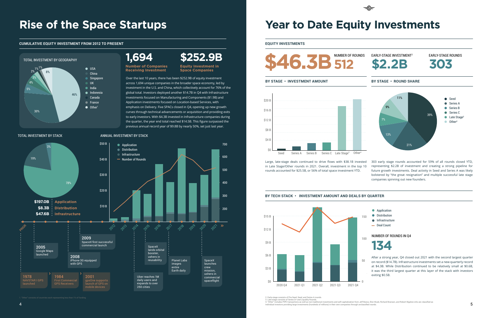## **Rise of the Space Startups**

Over the last 10 years, there has been \$252.9B of equity investment across 1,694 unique companies in the broader space economy, led by investment in the U.S. and China, which collectively account for 76% of the global total. Investors deployed another \$14.7B in Q4 with Infrastructure investments focused on Manufacturing and Components (\$1.9B) and Application investments focused on Location-based Services, with emphasis on Delivery. Five SPACs closed in Q4, opening up new growth curves through technical advancements or acquisition and providing exits to early investors. With \$4.3B invested in Infrastructure companies during the quarter, the year end total reached \$14.5B. This figure surpassed the previous annual record year of \$9.8B by nearly 50%, set just last year.

#### TOTAL INVESTMENT BY STACK ANNUAL INVESTMENT BY STACK

#### **CUMULATIVE EQUITY INVESTMENT FROM 2012 TO PRESENT**

Large, late-stage deals continued to drive flows with \$38.1B invested in Late Stage/Other rounds in 2021. Overall, investment in the top 10 rounds accounted for \$25.5B, or 56% of total space investment YTD. 303 early stage rounds accounted for 59% of all rounds closed YTD, representing \$2.2B of investment and creating a strong pipeline for future growth investments. Deal activity in Seed and Series A was likely bolstered by "the great resignation" and multiple successful late stage companies spinning out new founders.



#### \$30 B 400 \$50 B \$40 B <sup>600</sup> Number of Rounds 700 \$20 B \$10 B <sup>200</sup> 300 500 **\$197.0B Application \$8.3B Distribution \$47.6B Infrastructure Infrastructure Distribution Application** PRIOR 2012 2013 2014 2016 2017 2019 2020 2021 >> SpaceX launches crew mission, ushers in commercial spaceflight 1978 launched 1984 First Co GPS Receivers 2001 gpsOne supports launch of GPS on mobile devices 2005 Google Maps launched 2009 SpaceX first successful commercial launch 2008 iPhone 3G equipped with GPS Uber reaches 1M daily users and expands to over 250 cities SpaceX lands orbital booster, ushers in reusability Planet Labs images entire Earth daily 78% 3% 19%

## **Year to Date Equity Investments**

#### **BY TECH STACK • INVESTMENT AMOUNT AND DEALS BY QUARTER**

**EQUITY INVESTMENTS**

**Equity Investment in Space Companies**

**Number of Companies Receiving Investment**





2. Early-stage consists of Pre-Seed, Seed, and Series A rounds.



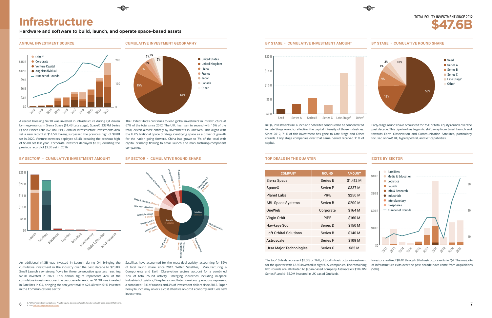An additional \$1.3B was invested in Launch during Q4, bringing the cumulative investment in the industry over the past decade to \$23.8B. Small Launch saw strong flows for three consecutive quarters, reaching \$2.7B invested in 2021. This annual figure represents 42% of the cumulative investment over the past decade. Another \$1.9B was invested in Satellites in Q4, bringing the ten year total to \$21.4B with 51% invested in the Communications sector.

## **Infrastructure**

#### **ANNUAL INVESTMENT SOURCE**

#### **BY SECTOR6 • CUMULATIVE INVESTMENT AMOUNT**

**CUMULATIVE INVESTMENT GEOGRAPHY**

**BY SECTOR • CUMULATIVE ROUND SHARE**



A record breaking \$4.3B was invested in Infrastructure during Q4 driven by mega-rounds in Sierra Space (\$1.4B Late stage), SpaceX (\$337M Series P) and Planet Labs (\$250M PIPE). Annual Infrastructure investments also set a new record at \$14.5B, having surpassed the previous high of \$9.8B set in 2020. Venture investors deployed \$5.4B, breaking the previous high of \$5.0B set last year. Corporate investors deployed \$3.9B, dwarfing the previous record of \$2.3B set in 2016.

67% of the total since 2012. The U.K. has risen to second with 15% of the total, driven almost entirely by investments in OneWeb. This aligns with the U.K.'s National Space Strategy identifying space as a driver of growth for the nation going forward. China has grown to 7% of the total with capital primarily flowing to small launch and manufacturing/component

companies.

## Launch <sub>Satellites</sub> cigates Logistics Industrials experience Research \$10 B \$25 B \$20 B \$15 B \$5 B \$0

Satellites have accounted for the most deal activity, accounting for 52% of total round share since 2012. Within Satellites, Manufacturing & Components and Earth Observation sectors account for a combined 77% of total round activity. Emerging industries including in-space Industrials, Logistics, Biospheres, and Interplanetary operations represent a combined 13% of rounds and 4% of investment dollars since 2012. Super heavy launch may unlock a cost effective on-orbit economy and fuels new investment.

In Q4, investments in Launch and Satellites continued to be concentrated in Late Stage rounds, reflecting the capital intensity of those industries. Since 2012, 71% of this investment has gone to Late Stage and Other rounds. Early stage companies over that same period received 11% of capital.

The top 10 deals represent \$3.3B, or 76%, of total Infrastructure investment for the quarter with \$2.9B invested in eight U.S. companies. The remaining two rounds are attributed to Japan-based company Astroscale's \$109.0M Series F, and \$165.0M invested in UK-based OneWeb.



Early-stage rounds have accounted for 75% of total equity rounds over the past decade. This pipeline has begun to shift away from Small Launch and towards Earth Observation and Communication Satellites, particularly focused on SAR, RF, hyperspectral, and IoT capabilities.







#### **TOP DEALS IN THE QUARTER EXITS BY SECTOR**

| <b>COMPANY</b>                | <b>ROUND</b>    | <b>AMOUNT</b> |
|-------------------------------|-----------------|---------------|
| Sierra Space                  | <b>Series E</b> | \$1.412 M     |
| SpaceX                        | Series P        | \$337 M       |
| <b>Planet Labs</b>            | <b>PIPF</b>     | \$250 M       |
| <b>ABL Space Systems</b>      | Series B        | \$200 M       |
| OneWeb                        | Corporate       | \$164 M       |
| Virgin Orbit                  | <b>PIPF</b>     | \$160 M       |
| Hawkeye 360                   | Series D        | \$150 M       |
| <b>Loft Orbital Solutions</b> | Series B        | \$140 M       |
| Astroscale                    | <b>Series F</b> | \$109 M       |
| Ursa Major Technologies       | Series C        | <b>S85 M</b>  |



Investors realized \$8.4B through 9 Infrastructure exits in Q4. The majority of Infrastructure exits over the past decade have come from acquisitions (59%).





Hardware and software to build, launch, and operate space-based assets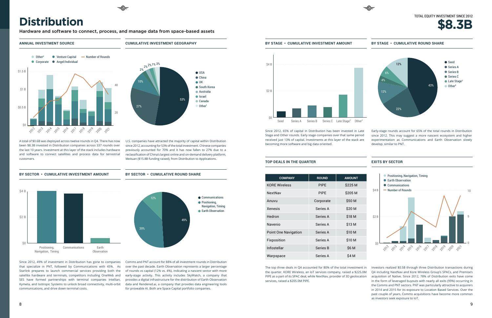#### **ANNUAL INVESTMENT SOURCE**

**BY SECTOR • CUMULATIVE INVESTMENT AMOUNT**

**CUMULATIVE INVESTMENT GEOGRAPHY**

#### **BY SECTOR • CUMULATIVE ROUND SHARE**



A total of \$0.6B was deployed across twelve rounds in Q4. There has now been \$8.3B invested in Distribution companies across 337 rounds over the last 10 years. Investment at this layer of the stack includes hardware and software to connect satellites and process data for terrestrial customers.

U.S. companies have attracted the majority of capital within Distribution since 2012, accounting for 53% of the total investment. Chinese companies previously accounted for 70% and it has now fallen to 27% due to a reclassification of China's largest online and on-demand delivery platform, Meituan (\$15.8B funding raised), from Distribution to Applications.

Since 2012, 49% of investment in Distribution has gone to companies that specialize in PNT, followed by Communications with 45%. As Starlink prepares to launch commercial services providing both the satellite hardware and terminals, competitors including OneWeb and SES have formed partnerships with terminal companies Intellian, Kymeta, and Isotropic Systems to unlock broad connectivity, multi-orbit communications, and drive down terminal costs.



Comms and PNT account for 88% of all investment rounds in Distribution over the past decade. Earth Observation represents a larger percentage of rounds vs capital (12% vs. 4%), indicating a nascent sector with more early-stage activity. This activity includes SkyWatch, a company that provides a digital infrastructure for the distribution of Earth Observation data and Rendered.ai, a company that provides data engineering tools for proveable AI. Both are Space Capital portfolio companies.



Since 2012, 65% of capital in Distribution has been invested in Late Stage and Other rounds. Early stage companies over that same period received just 13% of capital. Investments at this layer of the stack are becoming more software and big data oriented. Early-stage rounds account for 65% of the total rounds in Distribution since 2012. This may suggest a more nascent ecosystem and higher experimentation as Communications and Earth Observation slowly develop, similar to PNT.

The top three deals in Q4 accounted for 80% of the total investment in the quarter. KORE Wireless, an IoT services company, raised a \$225.0M PIPE as a part of its SPAC deal, while NextNav, provider of 3D geolocation services, raised a \$205.0M PIPE.

#### **BY STAGE • CUMULATIVE INVESTMENT AMOUNT**

#### **TOP DEALS IN THE QUARTER EXITS BY SECTOR**

#### **BY STAGE • CUMULATIVE ROUND SHARE**



| <b>COMPANY</b>              | <b>ROUND</b> | <b>AMOUNT</b> |
|-----------------------------|--------------|---------------|
| <b>KORE Wireless</b>        | <b>PIPE</b>  | \$225 M       |
| NextNav                     | <b>PIPF</b>  | \$205 M       |
| Anuvu                       | Corporate    | \$50 M        |
| <b>Xenesis</b>              | Series A     | \$20 M        |
| Hedron                      | Series A     | \$18 M        |
| Navenio                     | Series A     | \$13 M        |
| <b>Point One Navigation</b> | Series A     | \$10 M        |
| Fixposition                 | Series A     | \$10 M        |
| Infostellar                 | Series B     | <b>\$6 M</b>  |
| Warpspace                   | Series A     | \$4 M         |





#### TOTAL EQUITY INVESTMENT SINCE 2012



Investors realized \$0.5B through three Distribution transactions during Q4 including NextNav and Kore Wireless Group's SPACs, and Premise's acquisition of Native. Since 2012, 78% of Distribution exits have come in the form of leveraged buyouts with nearly all exits (99%) occurring in the Comms and PNT sectors. PNT was particularly attractive to acquirers in 2014 and 2015 for its exposure to Location Based Services. Over the past couple of years, Comms acquisitions have become more common as investors seek exposure to IoT.

## **Distribution**

Hardware and software to connect, process, and manage data from space-based assets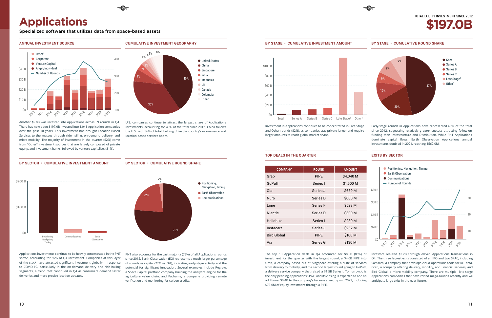#### **CUMULATIVE INVESTMENT GEOGRAPHY** ● United States ● China ● Singapore  $\bullet$  Indonesia  $\bullet$  India  $\bullet$  UK Canada Colombia Other<sup>1</sup> 40% 36% 7% 3%  $1\%$ <sup>1%</sub><sup>1%</sup> 8%</sup>

#### **ANNUAL INVESTMENT SOURCE**



#### **BY SECTOR • CUMULATIVE ROUND SHARE**

Another \$9.8B was invested into Applications across 59 rounds in Q4. There has now been \$197.0B invested into 1,041 Application companies over the past 10 years. This investment has brought Location-Based Services to the masses through ride-hailing, on-demand delivery, and micro-mobility. The majority of investment in the quarter (52%) came from "Other" investment sources that are largely composed of private equity, and investment banks, followed by venture capitalists (31%).

U.S. companies continue to attract the largest share of Applications investments, accounting for 40% of the total since 2012. China follows the U.S. with 36% of total, helping drive the country's e-commerce and location-based services boom.

Applications investments continue to be heavily concentrated in the PNT sector, accounting for 97% of Q4 investment. Companies at this layer of the stack have attracted significant investment globally in response to COVID-19, particularly in the on-demand delivery and ride-hailing segments, a trend that continued in Q4 as consumers demand faster deliveries and more precise location updates.

PNT also accounts for the vast majority (76%) of all Applications rounds since 2012. Earth Observation (EO) represents a much larger percentage of rounds vs capital (22% vs. 3%), indicating early-stage activity and the potential for significant innovation. Several examples include Regrow, a Space Capital portfolio company building the analytics engine for the agriculture value chain, and Pachama, a company providing remote verification and monitoring for carbon credits.

Investment in Applications continues to be concentrated in Late Stage and Other rounds (82%), as companies stay private longer and require larger amounts to reach global market share.





The top 10 Application deals in Q4 accounted for \$8.5B (86%) of investment for the quarter with the largest round, a \$4.0B PIPE into Grab, a company based out of Singapore offering a suite of services from delivery to mobility, and the second largest round going to GoPuff, a delivery service company that raised a \$1.5B Series I. Tomorrow.io is the only pending Applications SPAC, and its closing is expected to add an additional \$0.4B to the company's balance sheet by mid 2022, including \$75.0M of equity investment through a PIPE. Investors realized \$2.2B through eleven Applications transactions in Q4. The three largest exits consisted of an IPO and two SPAC, including Samsara, a company that develops cloud operations tools for IoT data, Grab, a company offering delivery, mobility, and financial services, and Bird Global, a micro-mobility company. There are multiple late-stage Applications companies that have raised mega-rounds recently and we anticipate large exits in the near future.

Early-stage rounds in Applications have represented 67% of the total since 2012, suggesting relatively greater success attracting follow-on funding than Infrastructure and Distribution. While PNT Applications dominate capital flows, Earth Observation Applications annual investments doubled in 2021, reaching \$560.0M.





#### **TOP DEALS IN THE QUARTER EXITS BY SECTOR**

#### **BY STAGE • CUMULATIVE ROUND SHARE**

| <b>COMPANY</b> | <b>ROUND</b>    | <b>AMOUNT</b> |  |
|----------------|-----------------|---------------|--|
| Grab           | <b>PIPE</b>     | \$4,040 M     |  |
| GoPuff         | Series I        | \$1,500 M     |  |
| Ola            | Series J        | \$639 M       |  |
| Nuro           | Series D        | \$600 M       |  |
| Lime           | <b>Series F</b> | \$523 M       |  |
| Niantic        | Series D        | \$300 M       |  |
| Hellobike      | Series I        | \$280 M       |  |
| Instacart      | Series J        | \$232 M       |  |
| Bird Global    | <b>PIPE</b>     | \$160 M       |  |
| Via            | Series G        | \$130 M       |  |



**\$197.0B**





## **Applications**

Specialized software that utilizes data from space-based assets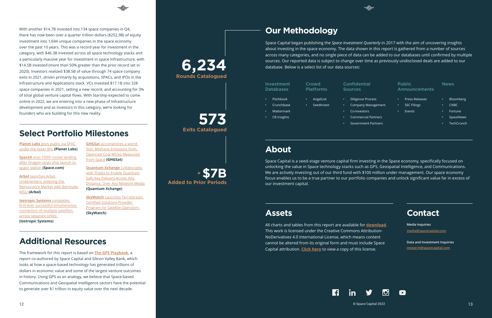## **Additional Resources**

The framework for this report is based on **[The GPS Playbook](https://www.spacecapital.com/publications/the-gps-playbook-report)**, a report co-authored by Space Capital and Silicon Valley Bank, which looks at how a space-based technology has generated trillions of dollars in economic value and some of the largest venture outcomes in history. Using GPS as an analogy, we believe that Space-based Communications and Geospatial Intelligence sectors have the potential to generate over \$1 trillion in equity value over the next decade.

With another \$14.7B invested into 134 space companies in Q4, there has now been over a quarter trillion dollars (\$252.9B) of equity investment into 1,694 unique companies in the space economy over the past 10 years. This was a record year for investment in the category, with \$46.3B invested across all space technology stacks and a particularly massive year for investment in space Infrastructure, with \$14.5B invested (more than 50% greater than the prior record set in 2020). Investors realized \$38.5B of value through 74 space company exits in 2021, driven primarily by acquisitions, SPACs, and IPOs in the Infrastructure and Applications stack. VCs invested \$17.1B into 328 space companies in 2021, setting a new record, and accounting for 3% of total global venture capital flows. With Starship expected to come online in 2022, we are entering into a new phase of Infrastructure development and as investors in this category, we're looking for founders who are building for this new reality.

**Planet Labs** [goes public via SPAC](https://twitter.com/planet/status/1468697786824544260)  [under the ticker \\$PL](https://twitter.com/planet/status/1468697786824544260) **(Planet Labs)**

© Space Capital 2022  $12$   $\circ$  Space Capital 2022  $\circ$   $13$ 

**SpaceX** [aces 100th rocket landing](https://www.space.com/spacex-dragon-crs-2-launch-100th-rocket-landing-success)  [after Dragon cargo ship launch to](https://www.space.com/spacex-dragon-crs-2-launch-100th-rocket-landing-success)  [space station](https://www.space.com/spacex-dragon-crs-2-launch-100th-rocket-landing-success) **(Space.com)**

**Arbol** [launches Arbol](https://arbolmarket.medium.com/arbol-launches-arbol-underwriters-enters-the-reinsurance-market-with-bermuda-mgu-d349bcf6c17f)  [Underwriters, entering the](https://arbolmarket.medium.com/arbol-launches-arbol-underwriters-enters-the-reinsurance-market-with-bermuda-mgu-d349bcf6c17f)  [Reinsurance Market with Bermuda](https://arbolmarket.medium.com/arbol-launches-arbol-underwriters-enters-the-reinsurance-market-with-bermuda-mgu-d349bcf6c17f)  [MGU](https://arbolmarket.medium.com/arbol-launches-arbol-underwriters-enters-the-reinsurance-market-with-bermuda-mgu-d349bcf6c17f) **(Arbol)**

**[Isotropic Systems](https://www.isotropicsystems.com/news-3/2021/11/2/isotropic-systems-redefines-global-satellite-services-with-first-ever-multi-orbit-field-tests)** completes [first-ever successful simultaneous](https://www.isotropicsystems.com/news-3/2021/11/2/isotropic-systems-redefines-global-satellite-services-with-first-ever-multi-orbit-field-tests)  [connection of multiple satellites](https://www.isotropicsystems.com/news-3/2021/11/2/isotropic-systems-redefines-global-satellite-services-with-first-ever-multi-orbit-field-tests)  [across separate orbits](https://www.isotropicsystems.com/news-3/2021/11/2/isotropic-systems-redefines-global-satellite-services-with-first-ever-multi-orbit-field-tests) 

**(Isotropic Systems)**

**Exits Catalogued 573**

#### News

|   | Investment<br><b>Databases</b> |   | Crowd<br><b>Platforms</b> |   | Confide<br><b>Sources</b> |
|---|--------------------------------|---|---------------------------|---|---------------------------|
| ٠ | Pitchbook                      | ٠ | AngelList                 | ٠ | Diligen                   |
| ٠ | Crunchbase                     | ٠ | SeedInvest                | ٠ | Compa                     |
| ٠ | <b>Mattermark</b>              |   |                           | ٠ | Co-Inve                   |
| ٠ | <b>CB Insights</b>             |   |                           | ٠ | Comm                      |
|   |                                |   |                           | ٠ | Govern                    |
|   |                                |   |                           |   |                           |
|   |                                |   |                           |   |                           |

- Bloomberg
- CNBC
- Fortune
- **SpaceNews**
- TechCrunch

**SkyWatch** Launches TerraStream [Certified Solutions Provider](https://www.skywatch.com/news/skywatch-launches-terrastream-certified-solutions-provider-program-to-offer-end-to-end-ecosystem-support-for-satellite-operators)  [Program for Satellite Operators](https://www.skywatch.com/news/skywatch-launches-terrastream-certified-solutions-provider-program-to-offer-end-to-end-ecosystem-support-for-satellite-operators)  **(SkyWatch)**

#### Public Announcements

- Press Releases
- SEC Filings
- Events

Space Capital began publishing the *Space Investment Quarterly* in 2017 with the aim of uncovering insights about investing in the space economy. The data shown in this report is gathered from a number of sources across many categories, and no single piece of data can be added to our databases until confirmed by multiple sources. Our reported data is subject to change over time as previously undisclosed deals are added to our database. Below is a select list of our data sources:

Space Capital is a seed-stage venture capital firm investing in the Space economy, specifically focused on unlocking the value in Space technology stacks such as GPS, Geospatial Intelligence, and Communications. We are actively investing out of our third fund with \$100 million under management. Our space economy focus enables us to be a true partner to our portfolio companies and unlock significant value far in excess of our investment capital.

## **About**

## **Assets**

All charts and tables from this report are available for **[download](https://www.dropbox.com/sh/tq4tsf2ia45x97r/AACLNtcoBVZiFnvqQtwacGLxa?dl=0)**. This work is licensed under the Creative Commons Attribution-NoDerivatives 4.0 International License, which means content cannot be altered from its original form and must include Space Capital attribution. **[Click here](https://creativecommons.org/licenses/by-nd/4.0/)** to view a copy of this license.



#### ntial

- ce Process
- Company Management
- estors
- ercial Partners
- ment Partners

## **Contact**

#### **[media@spacecapital.com](mailto:media%40spacecapital.com?subject=) Media Inquiries**

**[research@spacecapital.com](mailto:research%40spacecapital.com?subject=) Data and Investment Inquiries**



## **Select Portfolio Milestones**

## **Our Methodology**

## **Rounds Catalogued 6,234**

**Added to Prior Periods + \$7B**

**GHGSat** [accomplishes a world](https://www.ghgsat.com/en/newsroom/world-first-methane-emissions-from-opencast-coal-mines-measured-from-space/)  first: Methane Emissions from [Opencast Coal Mines Measured](https://www.ghgsat.com/en/newsroom/world-first-methane-emissions-from-opencast-coal-mines-measured-from-space/)  [from Space](https://www.ghgsat.com/en/newsroom/world-first-methane-emissions-from-opencast-coal-mines-measured-from-space/) **(GHGSat)**

**[Quantum Xchange](https://quantumxc.com/press-release/quantum-xchange-collaborates-with-thales-to-enable-quantum-safe-key-delivery-across-any-distance-over-any-network-media/)** Collaborates [with Thales to Enable Quantum-](https://quantumxc.com/press-release/quantum-xchange-collaborates-with-thales-to-enable-quantum-safe-key-delivery-across-any-distance-over-any-network-media/)[Safe Key Delivery Across Any](https://quantumxc.com/press-release/quantum-xchange-collaborates-with-thales-to-enable-quantum-safe-key-delivery-across-any-distance-over-any-network-media/)  [Distance, Over Any Network Media](https://quantumxc.com/press-release/quantum-xchange-collaborates-with-thales-to-enable-quantum-safe-key-delivery-across-any-distance-over-any-network-media/)  **(Quantum Xchange)**